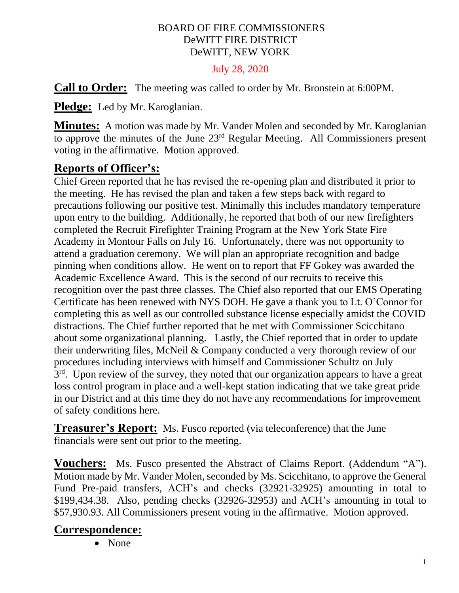#### BOARD OF FIRE COMMISSIONERS DeWITT FIRE DISTRICT DeWITT, NEW YORK

July 28, 2020

**Call to Order:** The meeting was called to order by Mr. Bronstein at 6:00PM.

**Pledge:** Led by Mr. Karoglanian.

**Minutes:** A motion was made by Mr. Vander Molen and seconded by Mr. Karoglanian to approve the minutes of the June 23rd Regular Meeting. All Commissioners present voting in the affirmative. Motion approved.

### **Reports of Officer's:**

Chief Green reported that he has revised the re-opening plan and distributed it prior to the meeting. He has revised the plan and taken a few steps back with regard to precautions following our positive test. Minimally this includes mandatory temperature upon entry to the building. Additionally, he reported that both of our new firefighters completed the Recruit Firefighter Training Program at the New York State Fire Academy in Montour Falls on July 16. Unfortunately, there was not opportunity to attend a graduation ceremony. We will plan an appropriate recognition and badge pinning when conditions allow. He went on to report that FF Gokey was awarded the Academic Excellence Award. This is the second of our recruits to receive this recognition over the past three classes. The Chief also reported that our EMS Operating Certificate has been renewed with NYS DOH. He gave a thank you to Lt. O'Connor for completing this as well as our controlled substance license especially amidst the COVID distractions. The Chief further reported that he met with Commissioner Scicchitano about some organizational planning. Lastly, the Chief reported that in order to update their underwriting files, McNeil & Company conducted a very thorough review of our procedures including interviews with himself and Commissioner Schultz on July 3<sup>rd</sup>. Upon review of the survey, they noted that our organization appears to have a great loss control program in place and a well-kept station indicating that we take great pride in our District and at this time they do not have any recommendations for improvement of safety conditions here.

**Treasurer's Report:** Ms. Fusco reported (via teleconference) that the June financials were sent out prior to the meeting.

**Vouchers:** Ms. Fusco presented the Abstract of Claims Report. (Addendum "A"). Motion made by Mr. Vander Molen, seconded by Ms. Scicchitano, to approve the General Fund Pre-paid transfers, ACH's and checks (32921-32925) amounting in total to \$199,434.38. Also, pending checks (32926-32953) and ACH's amounting in total to \$57,930.93. All Commissioners present voting in the affirmative. Motion approved.

#### **Correspondence:**

• None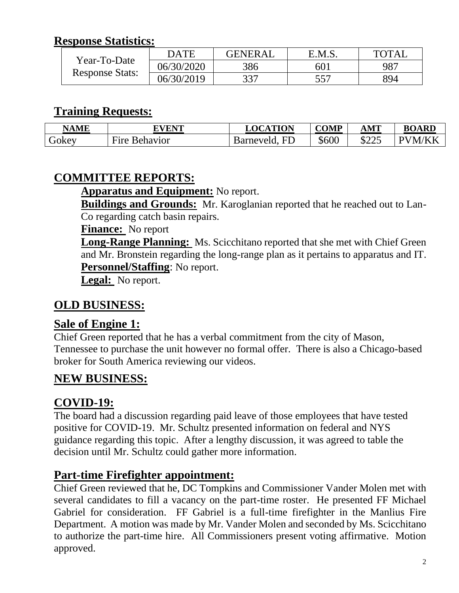#### **Response Statistics:**

| Year-To-Date<br><b>Response Stats:</b> | <b>DATE</b> | <b>GENERAL</b> | E.M.S.          | TOTA) |
|----------------------------------------|-------------|----------------|-----------------|-------|
|                                        | 06/30/2020  | 386            | 60 <sub>1</sub> | 987   |
|                                        | 06/30/2019  | 337            | 557             | 894   |

#### **Training Requests:**

| <b>NAME</b>  | <b>EVENT</b>                     | <b>TION</b><br>$T^{\alpha}$<br>a n | <b>COMP</b> | $\bold{AMT}$           | <b>BOARD</b> |
|--------------|----------------------------------|------------------------------------|-------------|------------------------|--------------|
| <b>JOKEY</b> | $\mathbf{r}$<br>Behavior<br>Fire | <b>EL</b><br>arneveld.             | \$600       | ሰዓዓ $\epsilon$<br>لككك | N/I<br>◡     |

### **COMMITTEE REPORTS:**

**Apparatus and Equipment:** No report.

**Buildings and Grounds:** Mr. Karoglanian reported that he reached out to Lan-Co regarding catch basin repairs.

**Finance:** No report

**Long-Range Planning:** Ms. Scicchitano reported that she met with Chief Green and Mr. Bronstein regarding the long-range plan as it pertains to apparatus and IT. **Personnel/Staffing**: No report.

**Legal:** No report.

#### **OLD BUSINESS:**

#### **Sale of Engine 1:**

Chief Green reported that he has a verbal commitment from the city of Mason, Tennessee to purchase the unit however no formal offer. There is also a Chicago-based broker for South America reviewing our videos.

### **NEW BUSINESS:**

### **COVID-19:**

The board had a discussion regarding paid leave of those employees that have tested positive for COVID-19. Mr. Schultz presented information on federal and NYS guidance regarding this topic. After a lengthy discussion, it was agreed to table the decision until Mr. Schultz could gather more information.

#### **Part-time Firefighter appointment:**

Chief Green reviewed that he, DC Tompkins and Commissioner Vander Molen met with several candidates to fill a vacancy on the part-time roster. He presented FF Michael Gabriel for consideration. FF Gabriel is a full-time firefighter in the Manlius Fire Department. A motion was made by Mr. Vander Molen and seconded by Ms. Scicchitano to authorize the part-time hire. All Commissioners present voting affirmative. Motion approved.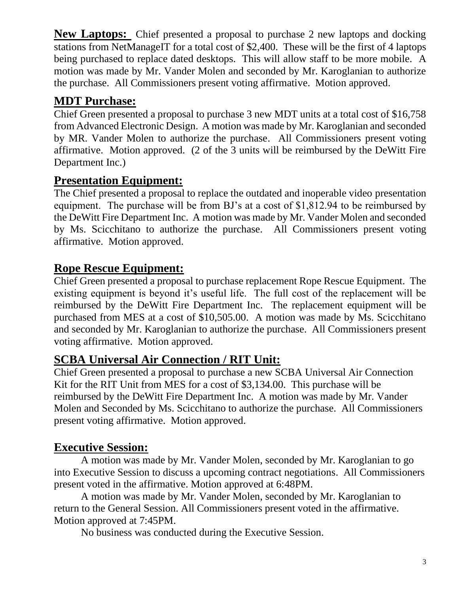**New Laptops:** Chief presented a proposal to purchase 2 new laptops and docking stations from NetManageIT for a total cost of \$2,400. These will be the first of 4 laptops being purchased to replace dated desktops. This will allow staff to be more mobile. A motion was made by Mr. Vander Molen and seconded by Mr. Karoglanian to authorize the purchase. All Commissioners present voting affirmative. Motion approved.

## **MDT Purchase:**

Chief Green presented a proposal to purchase 3 new MDT units at a total cost of \$16,758 from Advanced Electronic Design. A motion was made by Mr. Karoglanian and seconded by MR. Vander Molen to authorize the purchase. All Commissioners present voting affirmative. Motion approved. (2 of the 3 units will be reimbursed by the DeWitt Fire Department Inc.)

# **Presentation Equipment:**

The Chief presented a proposal to replace the outdated and inoperable video presentation equipment. The purchase will be from BJ's at a cost of \$1,812.94 to be reimbursed by the DeWitt Fire Department Inc. A motion was made by Mr. Vander Molen and seconded by Ms. Scicchitano to authorize the purchase. All Commissioners present voting affirmative. Motion approved.

## **Rope Rescue Equipment:**

Chief Green presented a proposal to purchase replacement Rope Rescue Equipment. The existing equipment is beyond it's useful life. The full cost of the replacement will be reimbursed by the DeWitt Fire Department Inc. The replacement equipment will be purchased from MES at a cost of \$10,505.00. A motion was made by Ms. Scicchitano and seconded by Mr. Karoglanian to authorize the purchase. All Commissioners present voting affirmative. Motion approved.

# **SCBA Universal Air Connection / RIT Unit:**

Chief Green presented a proposal to purchase a new SCBA Universal Air Connection Kit for the RIT Unit from MES for a cost of \$3,134.00. This purchase will be reimbursed by the DeWitt Fire Department Inc. A motion was made by Mr. Vander Molen and Seconded by Ms. Scicchitano to authorize the purchase. All Commissioners present voting affirmative. Motion approved.

# **Executive Session:**

A motion was made by Mr. Vander Molen, seconded by Mr. Karoglanian to go into Executive Session to discuss a upcoming contract negotiations. All Commissioners present voted in the affirmative. Motion approved at 6:48PM.

A motion was made by Mr. Vander Molen, seconded by Mr. Karoglanian to return to the General Session. All Commissioners present voted in the affirmative. Motion approved at 7:45PM.

No business was conducted during the Executive Session.